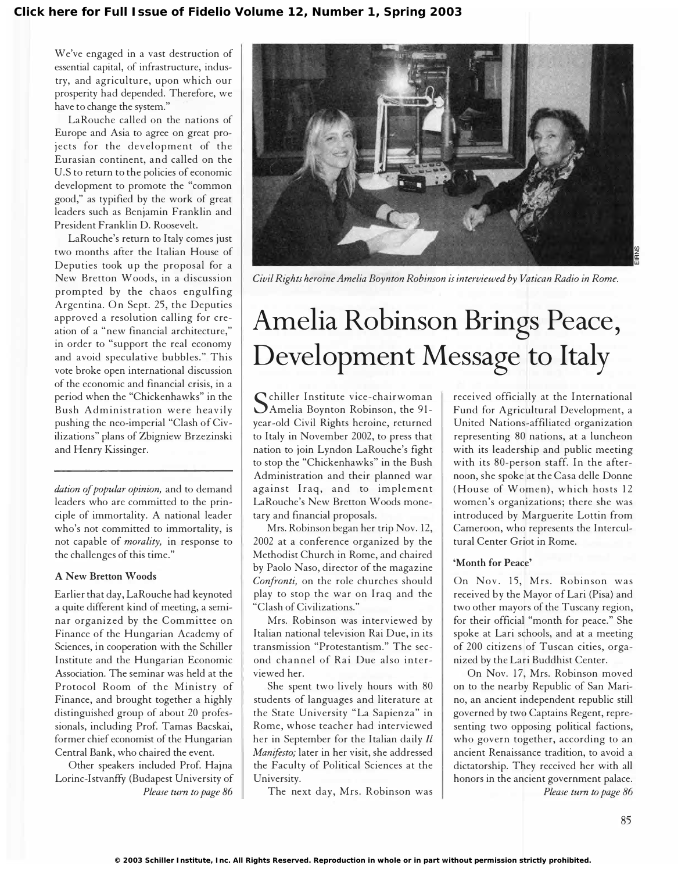We've engaged in a vast destruction of essential capital, of infrastructure, industry, and agriculture, upon which our prosperity had depended. Therefore, we have to change the system."

LaRouche called on the nations of Europe and Asia to agree on great projects for the development of the Eurasian continent, and called on the U.S to return to the policies of economic development to promote the "common good," as typified by the work of great leaders such as Benjamin Franklin and President Franklin D. Roosevelt.

LaRouche's return to Italy comes just two months after the Italian House of Deputies took up the proposal for a New Bretton Woods, in a discussion prompted by the chaos engulfing Argentina. On Sept. 25, the Deputies approved a resolution calling for creation of a "new financial architecture," in order to "support the real economy and avoid speculative bubbles." This vote broke open international discussion of the economic and financial crisis, in a period when the "Chickenhawks" in the Bush Administration were heavily pushing the neo-imperial "Clash of Civilizations" plans of Zbigniew Brzezinski and Henry Kissinger.

dation of popular opinion, and to demand leaders who are committed to the principle of immortality. A national leader who's not committed to immortality, is not capable of morality, in response to the challenges of this time."

#### A New Bretton Woods

Earlier that day, LaRouche had keynoted a quite different kind of meeting, a seminar organized by the Committee on Finance of the Hungarian Academy of Sciences, in cooperation with the Schiller Institute and the Hungarian Economic Association. The seminar was held at the Protocol Room of the Ministry of Finance, and brought together a highly distinguished group of about 20 professionals, including Prof. Tamas Bacskai, former chief economist of the Hungarian Central Bank, who chaired the event.

Other speakers included Prof. Hajna Lorinc-Istvanffy (Budapest University of Please tum to page 86



Civil Rights heroine Amelia Boynton Robinson is interviewed by Vatican Radio in Rome.

# Amelia Robinson Brings Peace, Development Message to Italy

Senner Histrate Vice-enan woman chiller Institute vice-chairwoman year-old Civil Rights heroine, returned to Italy in November 2002, to press that nation to join Lyndon LaRouche's fight to stop the "Chickenhawks" in the Bush Administration and their planned war against Iraq, and to implement LaRouche's New Bretton Woods monetary and financial proposals.

Mrs. Robinson began her trip Nov. 12, 2002 at a conference organized by the Methodist Church in Rome, and chaired by Paolo Naso, director of the magazine Confronti, on the role churches should play to stop the war on Iraq and the "Clash of Civilizations."

Mrs. Robinson was interviewed by Italian national television Rai Due, in its transmission "Protestantism." The second channel of Rai Due also interviewed her.

She spent two lively hours with 80 students of languages and literature at the State University "La Sapienza" in Rome, whose teacher had interviewed her in September for the Italian daily Il Manifesto; later in her visit, she addressed the Faculty of Political Sciences at the University.

The next day, Mrs. Robinson was

received officially at the International Fund for Agricultural Development, a United Nations-affiliated organization representing 80 nations, at a luncheon with its leadership and public meeting with its 80-person staff. In the afternoon, she spoke at the Casa delle Donne (House of Women), which hosts 12 women's organizations; there she was introduced by Marguerite Lottin from Cameroon, who represents the Intercultural Center Griot in Rome.

#### 'Month for Peace'

On Nov. 15, Mrs. Robinson was received by the Mayor of Lari (Pisa) and two other mayors of the Tuscany region, for their official "month for peace." She spoke at Lari schools, and at a meeting of 200 citizens of Tuscan cities, organized by the Lari Buddhist Center.

On Nov. 17, Mrs. Robinson moved on to the nearby Republic of San Marino, an ancient independent republic still governed by two Captains Regent, representing two opposing political factions, who govern together, according to an ancient Renaissance tradition, to avoid a dictatorship. They received her with all honors in the ancient government palace. Please turn to page 86